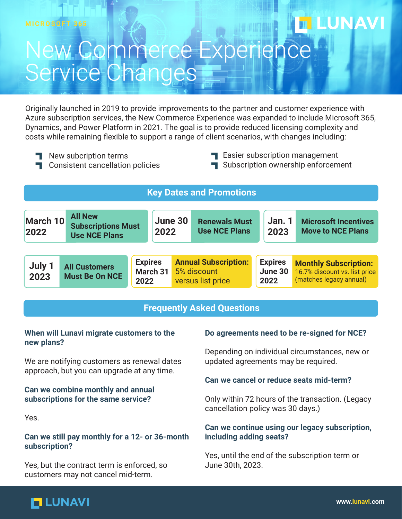## New Commerce Experience Service Changes

Originally launched in 2019 to provide improvements to the partner and customer experience with Azure subscription services, the New Commerce Experience was expanded to include Microsoft 365, Dynamics, and Power Platform in 2021. The goal is to provide reduced licensing complexity and costs while remaining flexible to support a range of client scenarios, with changes including:

- New subcription terms
- **T** Consistent cancellation policies
- **T** Easier subscription management
- Subscription ownership enforcement

**LUNAVI** 

| <b>Key Dates and Promotions</b>                                 |                                                                     |      |                            |  |                                                                 |  |                                   |                                                                                          |  |  |
|-----------------------------------------------------------------|---------------------------------------------------------------------|------|----------------------------|--|-----------------------------------------------------------------|--|-----------------------------------|------------------------------------------------------------------------------------------|--|--|
| March 10<br>2022                                                | <b>All New</b><br><b>Subscriptions Must</b><br><b>Use NCE Plans</b> |      | June 30<br>2022            |  | <b>Renewals Must</b><br><b>Use NCE Plans</b>                    |  | Jan.1<br>2023                     | <b>Microsoft Incentives</b><br><b>Move to NCE Plans</b>                                  |  |  |
| July 1<br><b>All Customers</b><br><b>Must Be On NCE</b><br>2023 |                                                                     | 2022 | <b>Expires</b><br>March 31 |  | <b>Annual Subscription:</b><br>5% discount<br>versus list price |  | <b>Expires</b><br>June 30<br>2022 | <b>Monthly Subscription:</b><br>16.7% discount vs. list price<br>(matches legacy annual) |  |  |

#### **Frequently Asked Questions**

#### **When will Lunavi migrate customers to the new plans?**

We are notifying customers as renewal dates approach, but you can upgrade at any time.

#### **Can we combine monthly and annual subscriptions for the same service?**

Yes.

#### **Can we still pay monthly for a 12- or 36-month subscription?**

Yes, but the contract term is enforced, so customers may not cancel mid-term.

#### **Do agreements need to be re-signed for NCE?**

Depending on individual circumstances, new or updated agreements may be required.

#### **Can we cancel or reduce seats mid-term?**

Only within 72 hours of the transaction. (Legacy cancellation policy was 30 days.)

#### **Can we continue using our legacy subscription, including adding seats?**

Yes, until the end of the subscription term or June 30th, 2023.

## **MLUNAVI**